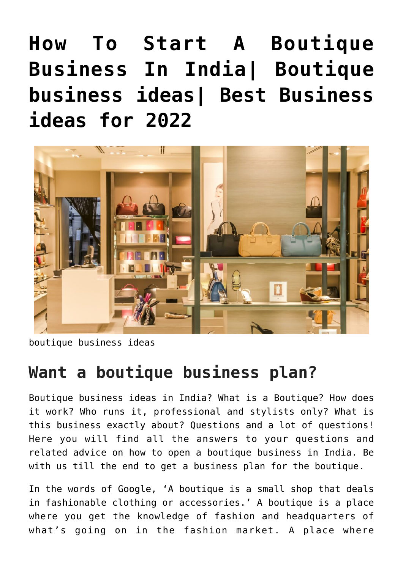# **[How To Start A Boutique](https://inbusinessideas.com/boutique-business-ideas-plan-in-india-2022/) [Business In India| Boutique](https://inbusinessideas.com/boutique-business-ideas-plan-in-india-2022/) [business ideas| Best Business](https://inbusinessideas.com/boutique-business-ideas-plan-in-india-2022/) [ideas for 2022](https://inbusinessideas.com/boutique-business-ideas-plan-in-india-2022/)**



boutique business ideas

### **Want a boutique business plan?**

Boutique business ideas in India? What is a Boutique? How does it work? Who runs it, professional and stylists only? What is this business exactly about? Questions and a lot of questions! Here you will find all the answers to your questions and related advice on how to open a boutique business in India. Be with us till the end to get a business plan for the boutique.

In the words of Google, 'A boutique is a small shop that deals in fashionable clothing or accessories.' A boutique is a place where you get the knowledge of fashion and headquarters of what's going on in the fashion market. A place where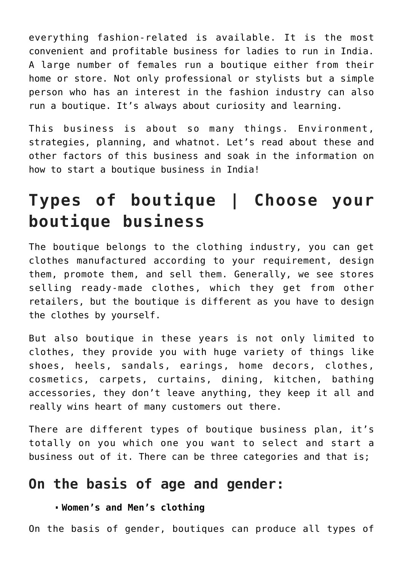everything fashion-related is available. It is the most convenient and profitable business for ladies to run in India. A large number of females run a boutique either from their home or store. Not only professional or stylists but a simple person who has an interest in the fashion industry can also run a boutique. It's always about curiosity and learning.

This business is about so many things. Environment, strategies, planning, and whatnot. Let's read about these and other factors of this business and soak in the information on how to start a boutique business in India!

### **Types of boutique | Choose your boutique business**

The boutique belongs to the clothing industry, you can get clothes manufactured according to your requirement, design them, promote them, and sell them. Generally, we see stores selling ready-made clothes, which they get from other retailers, but the boutique is different as you have to design the clothes by yourself.

But also boutique in these years is not only limited to clothes, they provide you with huge variety of things like shoes, heels, sandals, earings, home decors, clothes, cosmetics, carpets, curtains, dining, kitchen, bathing accessories, they don't leave anything, they keep it all and really wins heart of many customers out there.

There are different types of boutique business plan, it's totally on you which one you want to select and start a business out of it. There can be three categories and that is;

### **On the basis of age and gender:**

### **Women's and Men's clothing**

On the basis of gender, boutiques can produce all types of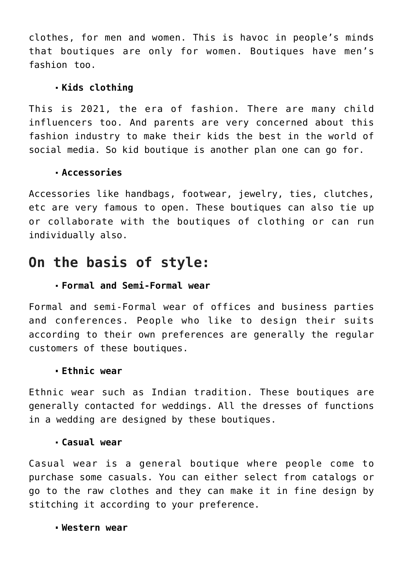clothes, for men and women. This is havoc in people's minds that boutiques are only for women. Boutiques have men's fashion too.

### **Kids clothing**

This is 2021, the era of fashion. There are many child influencers too. And parents are very concerned about this fashion industry to make their kids the best in the world of social media. So kid boutique is another plan one can go for.

### **Accessories**

Accessories like handbags, footwear, jewelry, ties, clutches, etc are very famous to open. These boutiques can also tie up or collaborate with the boutiques of clothing or can run individually also.

### **On the basis of style:**

### **Formal and Semi-Formal wear**

Formal and semi-Formal wear of offices and business parties and conferences. People who like to design their suits according to their own preferences are generally the regular customers of these boutiques.

#### **Ethnic wear**

Ethnic wear such as Indian tradition. These boutiques are generally contacted for weddings. All the dresses of functions in a wedding are designed by these boutiques.

#### **Casual wear**

Casual wear is a general boutique where people come to purchase some casuals. You can either select from catalogs or go to the raw clothes and they can make it in fine design by stitching it according to your preference.

#### **Western wear**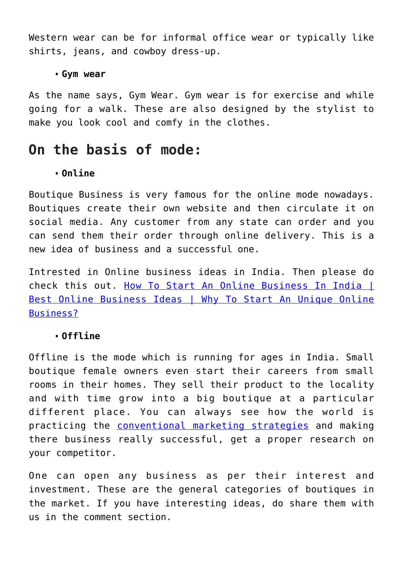Western wear can be for informal office wear or typically like shirts, jeans, and cowboy dress-up.

#### **Gym wear**

As the name says, Gym Wear. Gym wear is for exercise and while going for a walk. These are also designed by the stylist to make you look cool and comfy in the clothes.

### **On the basis of mode:**

#### **Online**

Boutique Business is very famous for the online mode nowadays. Boutiques create their own website and then circulate it on social media. Any customer from any state can order and you can send them their order through online delivery. This is a new idea of business and a successful one.

Intrested in Online business ideas in India. Then please do check this out. [How To Start An Online Business In India |](https://inbusinessideas.com/how-to-start-an-online-business-in-india/) [Best Online Business Ideas | Why To Start An Unique Online](https://inbusinessideas.com/how-to-start-an-online-business-in-india/) [Business?](https://inbusinessideas.com/how-to-start-an-online-business-in-india/)

#### **Offline**

Offline is the mode which is running for ages in India. Small boutique female owners even start their careers from small rooms in their homes. They sell their product to the locality and with time grow into a big boutique at a particular different place. You can always see how the world is practicing the [conventional marketing strategies](https://www.onlinemarketinginstitute.org/blog/2018/06/9-traditional-marketing-techniques-still-matter/) and making there business really successful, get a proper research on your competitor.

One can open any business as per their interest and investment. These are the general categories of boutiques in the market. If you have interesting ideas, do share them with us in the comment section.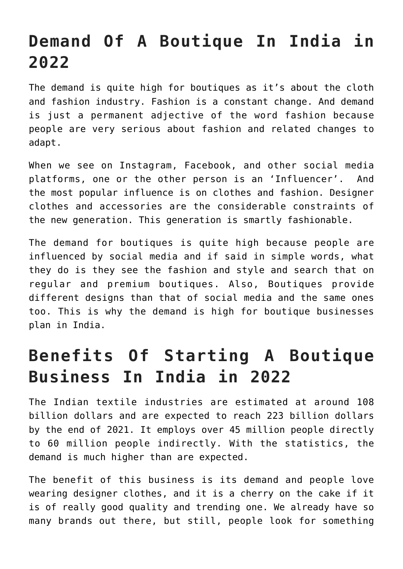## **Demand Of A Boutique In India in 2022**

The demand is quite high for boutiques as it's about the cloth and fashion industry. Fashion is a constant change. And demand is just a permanent adjective of the word fashion because people are very serious about fashion and related changes to adapt.

When we see on Instagram, Facebook, and other social media platforms, one or the other person is an 'Influencer'. And the most popular influence is on clothes and fashion. Designer clothes and accessories are the considerable constraints of the new generation. This generation is smartly fashionable.

The demand for boutiques is quite high because people are influenced by social media and if said in simple words, what they do is they see the fashion and style and search that on regular and premium boutiques. Also, Boutiques provide different designs than that of social media and the same ones too. This is why the demand is high for boutique businesses plan in India.

## **Benefits Of Starting A Boutique Business In India in 2022**

The Indian textile industries are estimated at around 108 billion dollars and are expected to reach 223 billion dollars by the end of 2021. It employs over 45 million people directly to 60 million people indirectly. With the statistics, the demand is much higher than are expected.

The benefit of this business is its demand and people love wearing designer clothes, and it is a cherry on the cake if it is of really good quality and trending one. We already have so many brands out there, but still, people look for something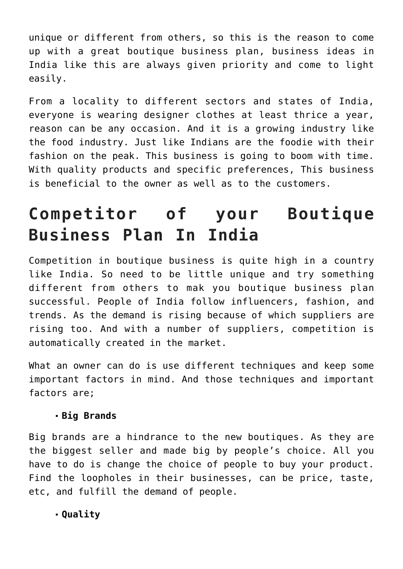unique or different from others, so this is the reason to come up with a great boutique business plan, business ideas in India like this are always given priority and come to light easily.

From a locality to different sectors and states of India, everyone is wearing designer clothes at least thrice a year, reason can be any occasion. And it is a growing industry like the food industry. Just like Indians are the foodie with their fashion on the peak. This business is going to boom with time. With quality products and specific preferences, This business is beneficial to the owner as well as to the customers.

### **Competitor of your Boutique Business Plan In India**

Competition in boutique business is quite high in a country like India. So need to be little unique and try something different from others to mak you boutique business plan successful. People of India follow influencers, fashion, and trends. As the demand is rising because of which suppliers are rising too. And with a number of suppliers, competition is automatically created in the market.

What an owner can do is use different techniques and keep some important factors in mind. And those techniques and important factors are;

#### **Big Brands**

Big brands are a hindrance to the new boutiques. As they are the biggest seller and made big by people's choice. All you have to do is change the choice of people to buy your product. Find the loopholes in their businesses, can be price, taste, etc, and fulfill the demand of people.

**Quality**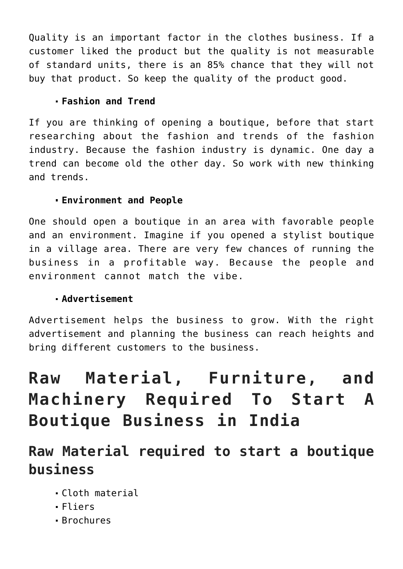Quality is an important factor in the clothes business. If a customer liked the product but the quality is not measurable of standard units, there is an 85% chance that they will not buy that product. So keep the quality of the product good.

### **Fashion and Trend**

If you are thinking of opening a boutique, before that start researching about the fashion and trends of the fashion industry. Because the fashion industry is dynamic. One day a trend can become old the other day. So work with new thinking and trends.

### **Environment and People**

One should open a boutique in an area with favorable people and an environment. Imagine if you opened a stylist boutique in a village area. There are very few chances of running the business in a profitable way. Because the people and environment cannot match the vibe.

### **Advertisement**

Advertisement helps the business to grow. With the right advertisement and planning the business can reach heights and bring different customers to the business.

## **Raw Material, Furniture, and Machinery Required To Start A Boutique Business in India**

### **Raw Material required to start a boutique business**

- Cloth material
- Fliers
- Brochures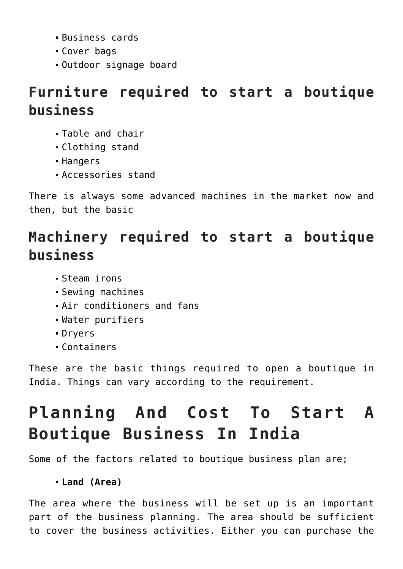- Business cards
- Cover bags
- Outdoor signage board

### **Furniture required to start a boutique business**

- Table and chair
- Clothing stand
- Hangers
- Accessories stand

There is always some advanced machines in the market now and then, but the basic

### **Machinery required to start a boutique business**

- Steam irons
- Sewing machines
- Air conditioners and fans
- Water purifiers
- Dryers
- Containers

These are the basic things required to open a boutique in India. Things can vary according to the requirement.

## **Planning And Cost To Start A Boutique Business In India**

Some of the factors related to boutique business plan are;

### **Land (Area)**

The area where the business will be set up is an important part of the business planning. The area should be sufficient to cover the business activities. Either you can purchase the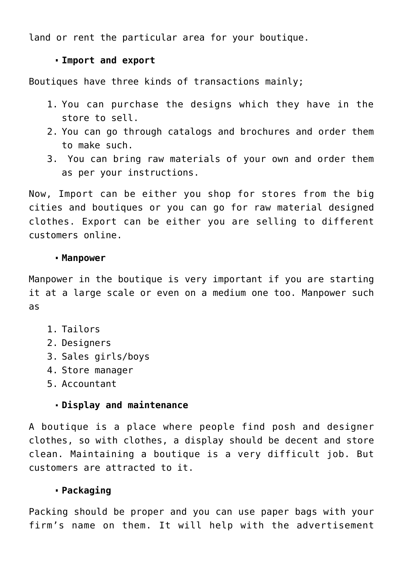land or rent the particular area for your boutique.

#### **Import and export**

Boutiques have three kinds of transactions mainly;

- 1. You can purchase the designs which they have in the store to sell.
- 2. You can go through catalogs and brochures and order them to make such.
- 3. You can bring raw materials of your own and order them as per your instructions.

Now, Import can be either you shop for stores from the big cities and boutiques or you can go for raw material designed clothes. Export can be either you are selling to different customers online.

#### **Manpower**

Manpower in the boutique is very important if you are starting it at a large scale or even on a medium one too. Manpower such as

- 1. Tailors
- 2. Designers
- 3. Sales girls/boys
- 4. Store manager
- 5. Accountant

### **Display and maintenance**

A boutique is a place where people find posh and designer clothes, so with clothes, a display should be decent and store clean. Maintaining a boutique is a very difficult job. But customers are attracted to it.

### **Packaging**

Packing should be proper and you can use paper bags with your firm's name on them. It will help with the advertisement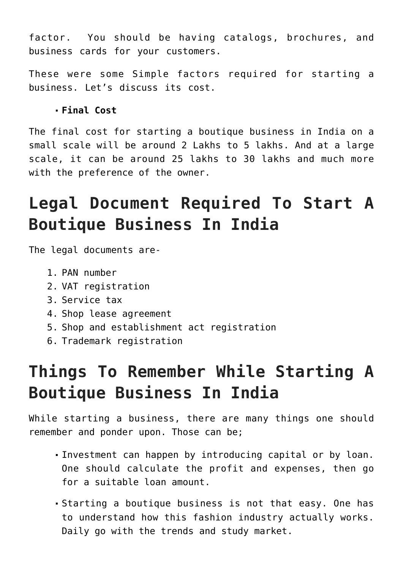factor. You should be having catalogs, brochures, and business cards for your customers.

These were some Simple factors required for starting a business. Let's discuss its cost.

### **Final Cost**

The final cost for starting a boutique business in India on a small scale will be around 2 Lakhs to 5 lakhs. And at a large scale, it can be around 25 lakhs to 30 lakhs and much more with the preference of the owner.

## **Legal Document Required To Start A Boutique Business In India**

The legal documents are-

- 1. PAN number
- 2. VAT registration
- 3. Service tax
- 4. Shop lease agreement
- 5. Shop and establishment act registration
- 6. Trademark registration

## **Things To Remember While Starting A Boutique Business In India**

While starting a business, there are many things one should remember and ponder upon. Those can be;

- Investment can happen by introducing capital or by loan. One should calculate the profit and expenses, then go for a suitable loan amount.
- Starting a boutique business is not that easy. One has to understand how this fashion industry actually works. Daily go with the trends and study market.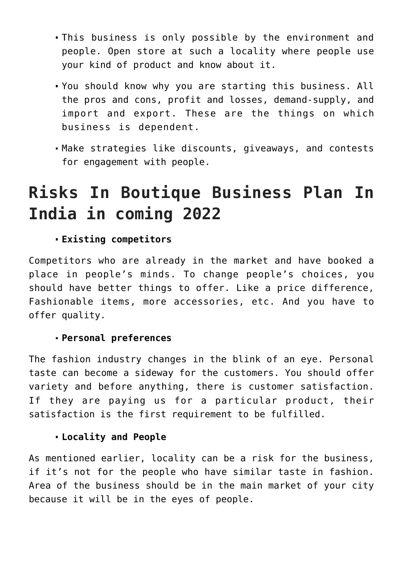- This business is only possible by the environment and people. Open store at such a locality where people use your kind of product and know about it.
- You should know why you are starting this business. All the pros and cons, profit and losses, demand-supply, and import and export. These are the things on which business is dependent.
- Make strategies like discounts, giveaways, and contests for engagement with people.

### **Risks In Boutique Business Plan In India in coming 2022**

### **Existing competitors**

Competitors who are already in the market and have booked a place in people's minds. To change people's choices, you should have better things to offer. Like a price difference, Fashionable items, more accessories, etc. And you have to offer quality.

#### **Personal preferences**

The fashion industry changes in the blink of an eye. Personal taste can become a sideway for the customers. You should offer variety and before anything, there is customer satisfaction. If they are paying us for a particular product, their satisfaction is the first requirement to be fulfilled.

#### **Locality and People**

As mentioned earlier, locality can be a risk for the business, if it's not for the people who have similar taste in fashion. Area of the business should be in the main market of your city because it will be in the eyes of people.